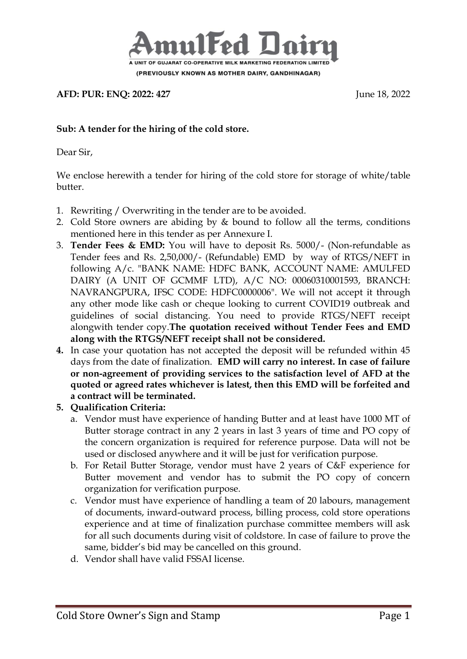

**AFD: PUR: ENQ: 2022: 427** June 18, 2022

### **Sub: A tender for the hiring of the cold store.**

Dear Sir,

We enclose herewith a tender for hiring of the cold store for storage of white/table butter.

- 1. Rewriting / Overwriting in the tender are to be avoided.
- 2. Cold Store owners are abiding by & bound to follow all the terms, conditions mentioned here in this tender as per Annexure I.
- 3. **Tender Fees & EMD:** You will have to deposit Rs. 5000/- (Non-refundable as Tender fees and Rs. 2,50,000/- (Refundable) EMD by way of RTGS/NEFT in following A/c. "BANK NAME: HDFC BANK, ACCOUNT NAME: AMULFED DAIRY (A UNIT OF GCMMF LTD), A/C NO: 00060310001593, BRANCH: NAVRANGPURA, IFSC CODE: HDFC0000006". We will not accept it through any other mode like cash or cheque looking to current COVID19 outbreak and guidelines of social distancing. You need to provide RTGS/NEFT receipt alongwith tender copy.**The quotation received without Tender Fees and EMD along with the RTGS/NEFT receipt shall not be considered.**
- **4.** In case your quotation has not accepted the deposit will be refunded within 45 days from the date of finalization. **EMD will carry no interest. In case of failure or non-agreement of providing services to the satisfaction level of AFD at the quoted or agreed rates whichever is latest, then this EMD will be forfeited and a contract will be terminated.**
- **5. Qualification Criteria:**
	- a. Vendor must have experience of handing Butter and at least have 1000 MT of Butter storage contract in any 2 years in last 3 years of time and PO copy of the concern organization is required for reference purpose. Data will not be used or disclosed anywhere and it will be just for verification purpose.
	- b. For Retail Butter Storage, vendor must have 2 years of C&F experience for Butter movement and vendor has to submit the PO copy of concern organization for verification purpose.
	- c. Vendor must have experience of handling a team of 20 labours, management of documents, inward-outward process, billing process, cold store operations experience and at time of finalization purchase committee members will ask for all such documents during visit of coldstore. In case of failure to prove the same, bidder's bid may be cancelled on this ground.
	- d. Vendor shall have valid FSSAI license.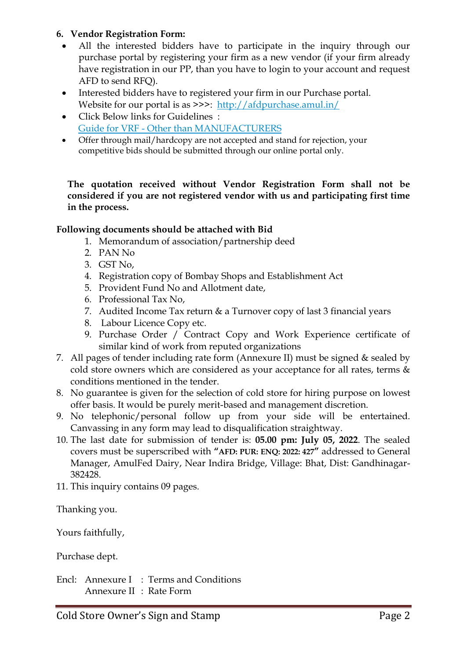### **6. Vendor Registration Form:**

- All the interested bidders have to participate in the inquiry through our purchase portal by registering your firm as a new vendor (if your firm already have registration in our PP, than you have to login to your account and request AFD to send RFQ).
- Interested bidders have to registered your firm in our Purchase portal. Website for our portal is as >>>: <http://afdpurchase.amul.in/>
- Click Below links for Guidelines : Guide for VRF - [Other than MANUFACTURERS](https://in-mum-m110.icewarpcloud.in/collaboration/#ticket=eJxNjMEOgjAQRL.GvaGlUNrLHgiKJ5WgeId2K0QFU8r,W24mM2.SSWaeKIyyvOcyVSYBi4dZrx.a,BKJsl6dHrqFIs7q2fnuDRorWP4mmsBhzJNMZoJJlQEhjJjzPBckUsmE3p,W0WwPdnaBj6YKjIODrn6grfRDN4U4F5e2Ksp72xyb2.5rLBhM4IVMEUuZlJp.VjQxZA__t&url=https%3A//amul.icewarpcloud.in/teamcha)
- Offer through mail/hardcopy are not accepted and stand for rejection, your competitive bids should be submitted through our online portal only.

#### **The quotation received without Vendor Registration Form shall not be considered if you are not registered vendor with us and participating first time in the process.**

### **Following documents should be attached with Bid**

- 1. Memorandum of association/partnership deed
- 2. PAN No
- 3. GST No,
- 4. Registration copy of Bombay Shops and Establishment Act
- 5. Provident Fund No and Allotment date,
- 6. Professional Tax No,
- 7. Audited Income Tax return & a Turnover copy of last 3 financial years
- 8. Labour Licence Copy etc.
- 9. Purchase Order / Contract Copy and Work Experience certificate of similar kind of work from reputed organizations
- 7. All pages of tender including rate form (Annexure II) must be signed & sealed by cold store owners which are considered as your acceptance for all rates, terms & conditions mentioned in the tender.
- 8. No guarantee is given for the selection of cold store for hiring purpose on lowest offer basis. It would be purely merit-based and management discretion.
- 9. No telephonic/personal follow up from your side will be entertained. Canvassing in any form may lead to disqualification straightway.
- 10. The last date for submission of tender is: **05.00 pm: July 05, 2022**. The sealed covers must be superscribed with **"AFD: PUR: ENQ: 2022: 427"** addressed to General Manager, AmulFed Dairy, Near Indira Bridge, Village: Bhat, Dist: Gandhinagar-382428.
- 11. This inquiry contains 09 pages.

Thanking you.

Yours faithfully,

Purchase dept.

Encl: Annexure I : Terms and Conditions Annexure II : Rate Form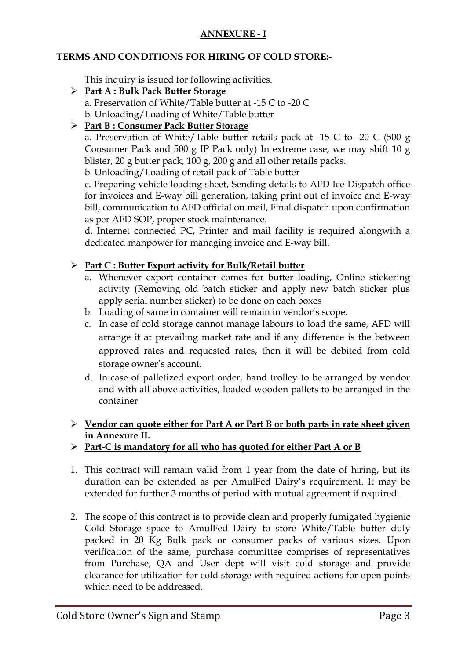## **ANNEXURE - I**

### **TERMS AND CONDITIONS FOR HIRING OF COLD STORE:-**

This inquiry is issued for following activities.

#### **Part A : Bulk Pack Butter Storage** a. Preservation of White/Table butter at -15 C to -20 C b. Unloading/Loading of White/Table butter

## **Part B : Consumer Pack Butter Storage**

a. Preservation of White/Table butter retails pack at -15 C to -20 C (500 g Consumer Pack and 500 g IP Pack only) In extreme case, we may shift 10 g blister, 20 g butter pack, 100 g, 200 g and all other retails packs.

b. Unloading/Loading of retail pack of Table butter

c. Preparing vehicle loading sheet, Sending details to AFD Ice-Dispatch office for invoices and E-way bill generation, taking print out of invoice and E-way bill, communication to AFD official on mail, Final dispatch upon confirmation as per AFD SOP, proper stock maintenance.

d. Internet connected PC, Printer and mail facility is required alongwith a dedicated manpower for managing invoice and E-way bill.

## **Part C : Butter Export activity for Bulk/Retail butter**

- a. Whenever export container comes for butter loading, Online stickering activity (Removing old batch sticker and apply new batch sticker plus apply serial number sticker) to be done on each boxes
- b. Loading of same in container will remain in vendor's scope.
- c. In case of cold storage cannot manage labours to load the same, AFD will arrange it at prevailing market rate and if any difference is the between approved rates and requested rates, then it will be debited from cold storage owner's account.
- d. In case of palletized export order, hand trolley to be arranged by vendor and with all above activities, loaded wooden pallets to be arranged in the container

## **Vendor can quote either for Part A or Part B or both parts in rate sheet given in Annexure II.**

## **Part-C is mandatory for all who has quoted for either Part A or B**

- 1. This contract will remain valid from 1 year from the date of hiring, but its duration can be extended as per AmulFed Dairy's requirement. It may be extended for further 3 months of period with mutual agreement if required.
- 2. The scope of this contract is to provide clean and properly fumigated hygienic Cold Storage space to AmulFed Dairy to store White/Table butter duly packed in 20 Kg Bulk pack or consumer packs of various sizes. Upon verification of the same, purchase committee comprises of representatives from Purchase, QA and User dept will visit cold storage and provide clearance for utilization for cold storage with required actions for open points which need to be addressed.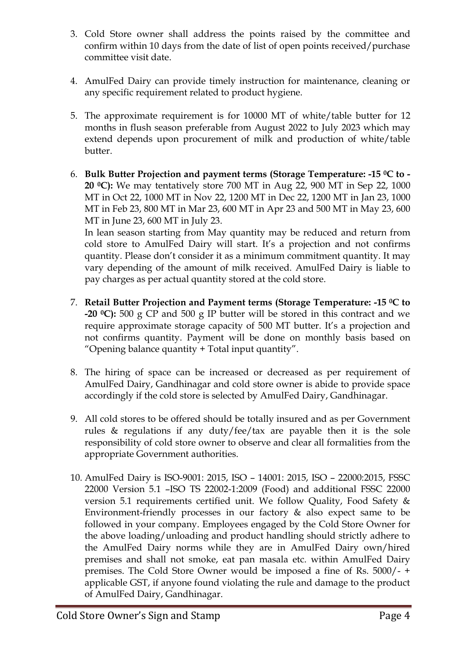- 3. Cold Store owner shall address the points raised by the committee and confirm within 10 days from the date of list of open points received/purchase committee visit date.
- 4. AmulFed Dairy can provide timely instruction for maintenance, cleaning or any specific requirement related to product hygiene.
- 5. The approximate requirement is for 10000 MT of white/table butter for 12 months in flush season preferable from August 2022 to July 2023 which may extend depends upon procurement of milk and production of white/table butter.
- 6. **Bulk Butter Projection and payment terms (Storage Temperature: -15 0C to - 20 0C):** We may tentatively store 700 MT in Aug 22, 900 MT in Sep 22, 1000 MT in Oct 22, 1000 MT in Nov 22, 1200 MT in Dec 22, 1200 MT in Jan 23, 1000 MT in Feb 23, 800 MT in Mar 23, 600 MT in Apr 23 and 500 MT in May 23, 600 MT in June 23, 600 MT in July 23.

In lean season starting from May quantity may be reduced and return from cold store to AmulFed Dairy will start. It's a projection and not confirms quantity. Please don't consider it as a minimum commitment quantity. It may vary depending of the amount of milk received. AmulFed Dairy is liable to pay charges as per actual quantity stored at the cold store.

- 7. **Retail Butter Projection and Payment terms (Storage Temperature: -15 <sup>0</sup>C to -20 <sup>0</sup>C):** 500 g CP and 500 g IP butter will be stored in this contract and we require approximate storage capacity of 500 MT butter. It's a projection and not confirms quantity. Payment will be done on monthly basis based on "Opening balance quantity + Total input quantity".
- 8. The hiring of space can be increased or decreased as per requirement of AmulFed Dairy, Gandhinagar and cold store owner is abide to provide space accordingly if the cold store is selected by AmulFed Dairy, Gandhinagar.
- 9. All cold stores to be offered should be totally insured and as per Government rules & regulations if any duty/fee/tax are payable then it is the sole responsibility of cold store owner to observe and clear all formalities from the appropriate Government authorities.
- 10. AmulFed Dairy is ISO-9001: 2015, ISO 14001: 2015, ISO 22000:2015, FSSC 22000 Version 5.1 –ISO TS 22002-1:2009 (Food) and additional FSSC 22000 version 5.1 requirements certified unit. We follow Quality, Food Safety & Environment-friendly processes in our factory & also expect same to be followed in your company. Employees engaged by the Cold Store Owner for the above loading/unloading and product handling should strictly adhere to the AmulFed Dairy norms while they are in AmulFed Dairy own/hired premises and shall not smoke, eat pan masala etc. within AmulFed Dairy premises. The Cold Store Owner would be imposed a fine of Rs. 5000/- + applicable GST, if anyone found violating the rule and damage to the product of AmulFed Dairy, Gandhinagar.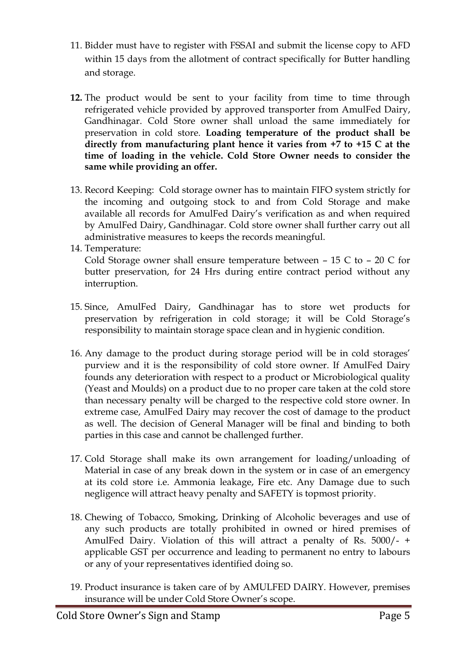- 11. Bidder must have to register with FSSAI and submit the license copy to AFD within 15 days from the allotment of contract specifically for Butter handling and storage.
- **12.** The product would be sent to your facility from time to time through refrigerated vehicle provided by approved transporter from AmulFed Dairy, Gandhinagar. Cold Store owner shall unload the same immediately for preservation in cold store. **Loading temperature of the product shall be directly from manufacturing plant hence it varies from +7 to +15 C at the time of loading in the vehicle. Cold Store Owner needs to consider the same while providing an offer.**
- 13. Record Keeping: Cold storage owner has to maintain FIFO system strictly for the incoming and outgoing stock to and from Cold Storage and make available all records for AmulFed Dairy's verification as and when required by AmulFed Dairy, Gandhinagar. Cold store owner shall further carry out all administrative measures to keeps the records meaningful.
- 14. Temperature:

Cold Storage owner shall ensure temperature between – 15 C to – 20 C for butter preservation, for 24 Hrs during entire contract period without any interruption.

- 15. Since, AmulFed Dairy, Gandhinagar has to store wet products for preservation by refrigeration in cold storage; it will be Cold Storage's responsibility to maintain storage space clean and in hygienic condition.
- 16. Any damage to the product during storage period will be in cold storages' purview and it is the responsibility of cold store owner. If AmulFed Dairy founds any deterioration with respect to a product or Microbiological quality (Yeast and Moulds) on a product due to no proper care taken at the cold store than necessary penalty will be charged to the respective cold store owner. In extreme case, AmulFed Dairy may recover the cost of damage to the product as well. The decision of General Manager will be final and binding to both parties in this case and cannot be challenged further.
- 17. Cold Storage shall make its own arrangement for loading/unloading of Material in case of any break down in the system or in case of an emergency at its cold store i.e. Ammonia leakage, Fire etc. Any Damage due to such negligence will attract heavy penalty and SAFETY is topmost priority.
- 18. Chewing of Tobacco, Smoking, Drinking of Alcoholic beverages and use of any such products are totally prohibited in owned or hired premises of AmulFed Dairy. Violation of this will attract a penalty of Rs. 5000/- + applicable GST per occurrence and leading to permanent no entry to labours or any of your representatives identified doing so.
- 19. Product insurance is taken care of by AMULFED DAIRY. However, premises insurance will be under Cold Store Owner's scope.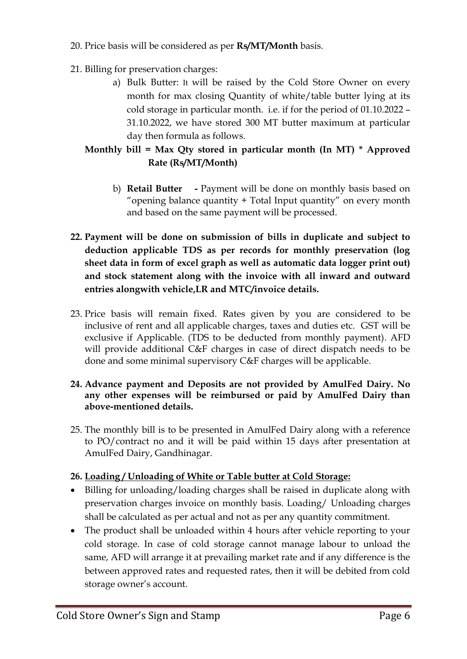- 20. Price basis will be considered as per **Rs/MT/Month** basis.
- 21. Billing for preservation charges:
	- a) Bulk Butter: It will be raised by the Cold Store Owner on every month for max closing Quantity of white/table butter lying at its cold storage in particular month. i.e. if for the period of 01.10.2022 – 31.10.2022, we have stored 300 MT butter maximum at particular day then formula as follows.

# **Monthly bill = Max Qty stored in particular month (In MT) \* Approved Rate (Rs/MT/Month)**

- b) **Retail Butter -** Payment will be done on monthly basis based on "opening balance quantity + Total Input quantity" on every month and based on the same payment will be processed.
- **22. Payment will be done on submission of bills in duplicate and subject to deduction applicable TDS as per records for monthly preservation (log sheet data in form of excel graph as well as automatic data logger print out) and stock statement along with the invoice with all inward and outward entries alongwith vehicle,LR and MTC/invoice details.**
- 23. Price basis will remain fixed. Rates given by you are considered to be inclusive of rent and all applicable charges, taxes and duties etc. GST will be exclusive if Applicable. (TDS to be deducted from monthly payment). AFD will provide additional C&F charges in case of direct dispatch needs to be done and some minimal supervisory C&F charges will be applicable.

### **24. Advance payment and Deposits are not provided by AmulFed Dairy. No any other expenses will be reimbursed or paid by AmulFed Dairy than above-mentioned details.**

25. The monthly bill is to be presented in AmulFed Dairy along with a reference to PO/contract no and it will be paid within 15 days after presentation at AmulFed Dairy, Gandhinagar.

## **26. Loading / Unloading of White or Table butter at Cold Storage:**

- Billing for unloading/loading charges shall be raised in duplicate along with preservation charges invoice on monthly basis. Loading/ Unloading charges shall be calculated as per actual and not as per any quantity commitment.
- The product shall be unloaded within 4 hours after vehicle reporting to your cold storage. In case of cold storage cannot manage labour to unload the same, AFD will arrange it at prevailing market rate and if any difference is the between approved rates and requested rates, then it will be debited from cold storage owner's account.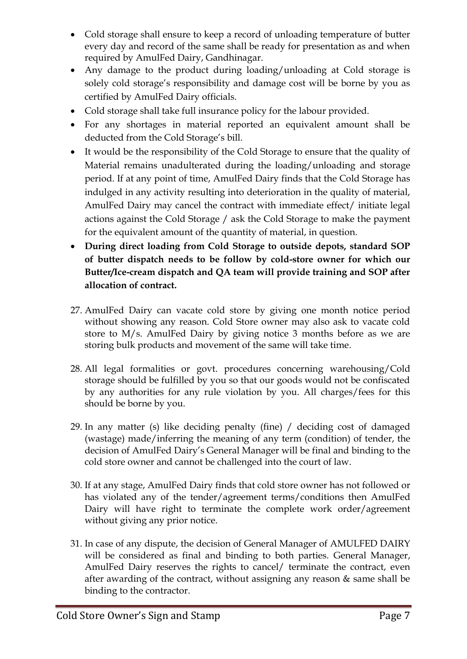- Cold storage shall ensure to keep a record of unloading temperature of butter every day and record of the same shall be ready for presentation as and when required by AmulFed Dairy, Gandhinagar.
- Any damage to the product during loading/unloading at Cold storage is solely cold storage's responsibility and damage cost will be borne by you as certified by AmulFed Dairy officials.
- Cold storage shall take full insurance policy for the labour provided.
- For any shortages in material reported an equivalent amount shall be deducted from the Cold Storage's bill.
- It would be the responsibility of the Cold Storage to ensure that the quality of Material remains unadulterated during the loading/unloading and storage period. If at any point of time, AmulFed Dairy finds that the Cold Storage has indulged in any activity resulting into deterioration in the quality of material, AmulFed Dairy may cancel the contract with immediate effect/ initiate legal actions against the Cold Storage / ask the Cold Storage to make the payment for the equivalent amount of the quantity of material, in question.
- **During direct loading from Cold Storage to outside depots, standard SOP of butter dispatch needs to be follow by cold-store owner for which our Butter/Ice-cream dispatch and QA team will provide training and SOP after allocation of contract.**
- 27. AmulFed Dairy can vacate cold store by giving one month notice period without showing any reason. Cold Store owner may also ask to vacate cold store to M/s. AmulFed Dairy by giving notice 3 months before as we are storing bulk products and movement of the same will take time.
- 28. All legal formalities or govt. procedures concerning warehousing/Cold storage should be fulfilled by you so that our goods would not be confiscated by any authorities for any rule violation by you. All charges/fees for this should be borne by you.
- 29. In any matter (s) like deciding penalty (fine) / deciding cost of damaged (wastage) made/inferring the meaning of any term (condition) of tender, the decision of AmulFed Dairy's General Manager will be final and binding to the cold store owner and cannot be challenged into the court of law.
- 30. If at any stage, AmulFed Dairy finds that cold store owner has not followed or has violated any of the tender/agreement terms/conditions then AmulFed Dairy will have right to terminate the complete work order/agreement without giving any prior notice.
- 31. In case of any dispute, the decision of General Manager of AMULFED DAIRY will be considered as final and binding to both parties. General Manager, AmulFed Dairy reserves the rights to cancel/ terminate the contract, even after awarding of the contract, without assigning any reason & same shall be binding to the contractor.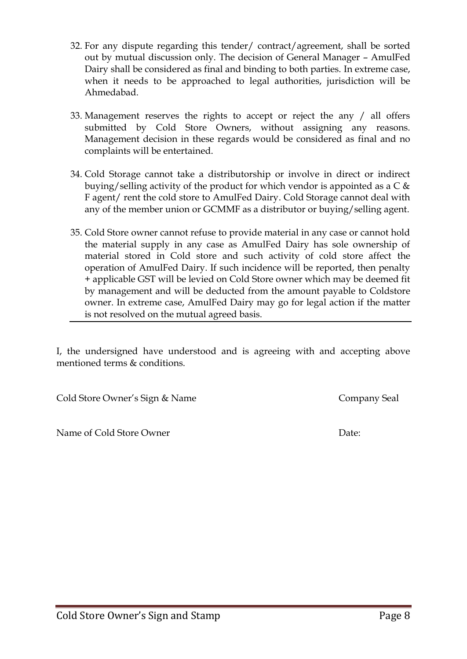out by mutual discussion only. The decision of General Manager – AmulFed Dairy shall be considered as final and binding to both parties. In extreme case, when it needs to be approached to legal authorities, jurisdiction will be Ahmedabad.

32. For any dispute regarding this tender/ contract/agreement, shall be sorted

- 33. Management reserves the rights to accept or reject the any / all offers submitted by Cold Store Owners, without assigning any reasons. Management decision in these regards would be considered as final and no complaints will be entertained.
- 34. Cold Storage cannot take a distributorship or involve in direct or indirect buying/selling activity of the product for which vendor is appointed as a  $C \&$ F agent/ rent the cold store to AmulFed Dairy. Cold Storage cannot deal with any of the member union or GCMMF as a distributor or buying/selling agent.
- 35. Cold Store owner cannot refuse to provide material in any case or cannot hold the material supply in any case as AmulFed Dairy has sole ownership of material stored in Cold store and such activity of cold store affect the operation of AmulFed Dairy. If such incidence will be reported, then penalty + applicable GST will be levied on Cold Store owner which may be deemed fit by management and will be deducted from the amount payable to Coldstore owner. In extreme case, AmulFed Dairy may go for legal action if the matter is not resolved on the mutual agreed basis.

I, the undersigned have understood and is agreeing with and accepting above mentioned terms & conditions.

Cold Store Owner's Sign & Name Company Seal

Name of Cold Store Owner **Date:** Date: